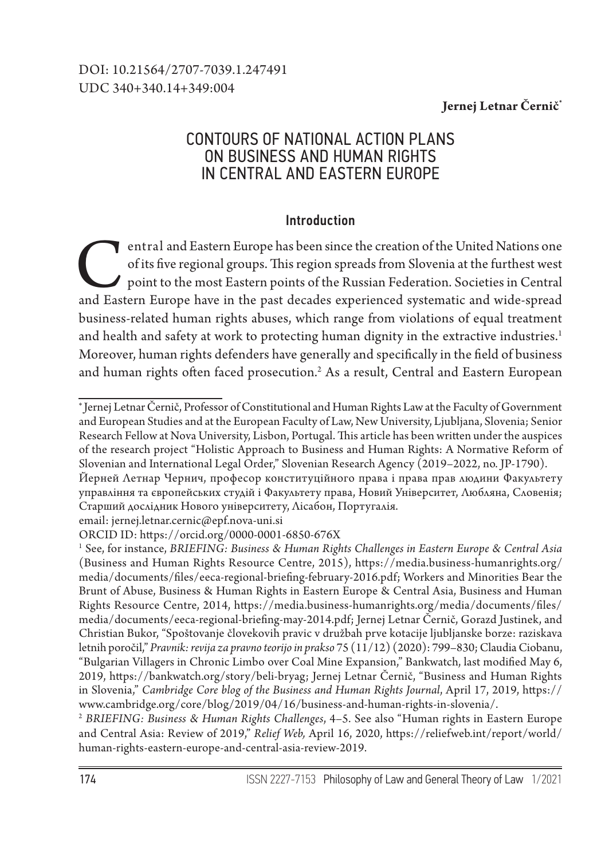### **Jernej Letnar Černič\***

# CONTOURS OF NATIONAL ACTION PLANS ON BUSINESS AND HUMAN RIGHTS IN CENTRAL AND EASTERN EUROPE

### Introduction

entral and Eastern Europe has been since the creation of the United Nations one of its five regional groups. This region spreads from Slovenia at the furthest west point to the most Eastern points of the Russian Federation of its five regional groups. This region spreads from Slovenia at the furthest west point to the most Eastern points of the Russian Federation. Societies in Central and Eastern Europe have in the past decades experienced systematic and wide-spread business-related human rights abuses, which range from violations of equal treatment and health and safety at work to protecting human dignity in the extractive industries.<sup>1</sup> Moreover, human rights defenders have generally and specifically in the field of business and human rights often faced prosecution.<sup>2</sup> As a result, Central and Eastern European

email: jernej.letnar.cernic@epf.nova-uni.si

<sup>2</sup> *BRIEFING: Business & Human Rights Challenges*, 4–5. See also "Human rights in Eastern Europe and Central Asia: Review of 2019," *Relief Web,* April 16, 2020, https://reliefweb.int/report/world/ human-rights-eastern-europe-and-central-asia-review-2019.

<sup>∗</sup> Jernej Letnar Černič, Professor of Constitutional and Human Rights Law at the Faculty of Government and European Studies and at the European Faculty of Law, New University, Ljubljana, Slovenia; Senior Research Fellow at Nova University, Lisbon, Portugal. This article has been written under the auspices of the research project "Holistic Approach to Business and Human Rights: A Normative Reform of Slovenian and International Legal Order," Slovenian Research Agency (2019–2022, no. JP-1790).

Йерней Летнар Чернич, професор конституційного права і права прав людини Факультету управління та європейських студій і Факультету права, Новий Університет, Любляна, Словенія; Старший дослідник Нового університету, Лісабон, Португалія.

ORCID ID: https://orcid.org/0000-0001-6850-676X

<sup>1</sup> See, for instance, *BRIEFING: Business & Human Rights Challenges in Eastern Europe & Central Asia*  (Business and Human Rights Resource Centre, 2015), https://media.business-humanrights.org/ media/documents/files/eeca-regional-briefing-february-2016.pdf; Workers and Minorities Bear the Brunt of Abuse, Business & Human Rights in Eastern Europe & Central Asia, Business and Human Rights Resource Centre, 2014, https://media.business-humanrights.org/media/documents/files/ media/documents/eeca-regional-briefing-may-2014.pdf; Jernej Letnar Černič, Gorazd Justinek, and Christian Bukor, "Spoštovanje človekovih pravic v družbah prve kotacije ljubljanske borze: raziskava letnih poročil," *Pravnik: revija za pravno teorijo in prakso* 75 (11/12) (2020): 799–830; Claudia Ciobanu, "Bulgarian Villagers in Chronic Limbo over Coal Mine Expansion," Bankwatch, last modified May 6, 2019, https://bankwatch.org/story/beli-bryag; Jernej Letnar Černič, "Business and Human Rights in Slovenia," *Cambridge Core blog of the Business and Human Rights Journal*, April 17, 2019, https:// www.cambridge.org/core/blog/2019/04/16/business-and-human-rights-in-slovenia/.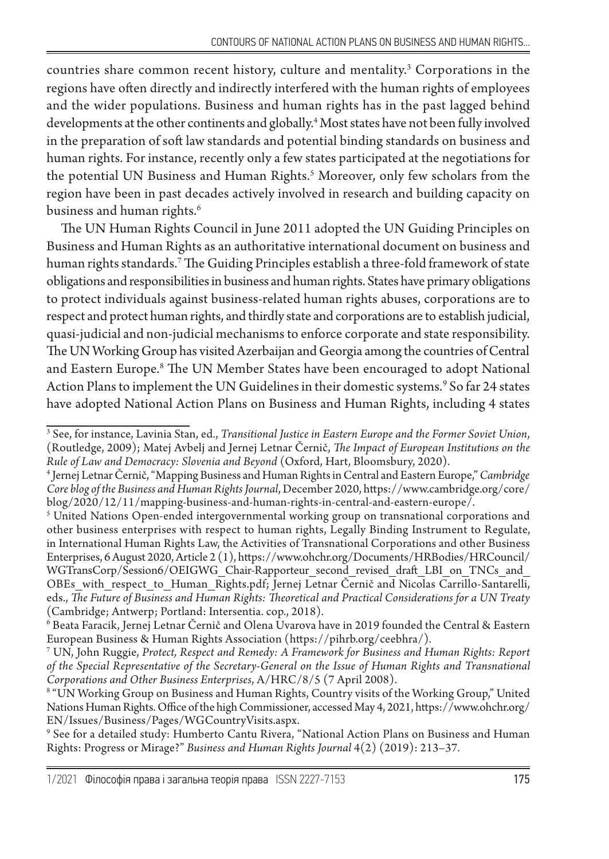countries share common recent history, culture and mentality.<sup>3</sup> Corporations in the regions have often directly and indirectly interfered with the human rights of employees and the wider populations. Business and human rights has in the past lagged behind developments at the other continents and globally.4 Most states have not been fully involved in the preparation of soft law standards and potential binding standards on business and human rights. For instance, recently only a few states participated at the negotiations for the potential UN Business and Human Rights.5 Moreover, only few scholars from the region have been in past decades actively involved in research and building capacity on business and human rights.<sup>6</sup>

The UN Human Rights Council in June 2011 adopted the UN Guiding Principles on Business and Human Rights as an authoritative international document on business and human rights standards.7 The Guiding Principles establish a three-fold framework of state obligations and responsibilities in business and human rights. States have primary obligations to protect individuals against business-related human rights abuses, corporations are to respect and protect human rights, and thirdly state and corporations are to establish judicial, quasi-judicial and non-judicial mechanisms to enforce corporate and state responsibility. The UN Working Group has visited Azerbaijan and Georgia among the countries of Central and Eastern Europe.8 The UN Member States have been encouraged to adopt National Action Plans to implement the UN Guidelines in their domestic systems.<sup>9</sup> So far 24 states have adopted National Action Plans on Business and Human Rights, including 4 states

9 See for a detailed study: Humberto Cantu Rivera, "National Action Plans on Business and Human Rights: Progress or Mirage?" *Business and Human Rights Journal* 4(2) (2019): 213–37.

<sup>3</sup> See, for instance, Lavinia Stan, ed., *Transitional Justice in Eastern Europe and the Former Soviet Union*, (Routledge, 2009); Matej Avbelj and Jernej Letnar Černič, *The Impact of European Institutions on the Rule of Law and Democracy: Slovenia and Beyond* (Oxford, Hart, Bloomsbury, 2020).

<sup>4</sup> Jernej Letnar Černič, "Mapping Business and Human Rights in Central and Eastern Europe," *Cambridge Core blog of the Business and Human Rights Journal*, December 2020, https://www.cambridge.org/core/ blog/2020/12/11/mapping-business-and-human-rights-in-central-and-eastern-europe/.

 $^{\mathrm{s}}$  United Nations Open-ended intergovernmental working group on transnational corporations and other business enterprises with respect to human rights, Legally Binding Instrument to Regulate, in International Human Rights Law, the Activities of Transnational Corporations and other Business Enterprises, 6 August 2020, Article 2 (1), https://www.ohchr.org/Documents/HRBodies/HRCouncil/ WGTransCorp/Session6/OEIGWG\_Chair-Rapporteur\_second\_revised\_draft\_LBI\_on\_TNCs\_and OBEs\_with\_respect\_to\_Human\_Rights.pdf; Jernej Letnar Černič and Nicolas Carrillo-Santarelli, еds., *The Future of Business and Human Rights: Theoretical and Practical Considerations for a UN Treaty* (Cambridge; Antwerp; Portland: Intersentia. cop., 2018).

 $^6$  Beata Faracik, Jernej Letnar Černič and Olena Uvarova have in 2019 founded the Central & Eastern European Business & Human Rights Association (https://pihrb.org/ceebhra/).

<sup>7</sup> UN, John Ruggie, *Protect, Respect and Remedy: A Framework for Business and Human Rights: Report of the Special Representative of the Secretary-General on the Issue of Human Rights and Transnational Corporations and Other Business Enterprises*, A/HRC/8/5 (7 April 2008).

 $^{\mathrm{s}}$  "UN Working Group on Business and Human Rights, Country visits of the Working Group," United Nations Human Rights. Office of the high Commissioner, accessed May 4, 2021, https://www.ohchr.org/ EN/Issues/Business/Pages/WGCountryVisits.aspx.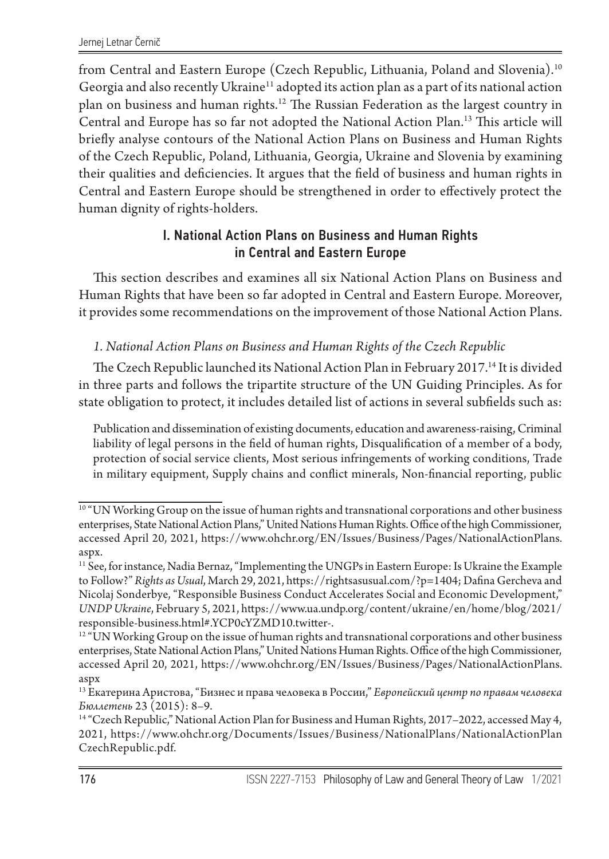from Central and Eastern Europe (Czech Republic, Lithuania, Poland and Slovenia).10 Georgia and also recently Ukraine<sup>11</sup> adopted its action plan as a part of its national action plan on business and human rights.12 The Russian Federation as the largest country in Central and Europe has so far not adopted the National Action Plan.<sup>13</sup> This article will briefly analyse contours of the National Action Plans on Business and Human Rights of the Czech Republic, Poland, Lithuania, Georgia, Ukraine and Slovenia by examining their qualities and deficiencies. It argues that the field of business and human rights in Central and Eastern Europe should be strengthened in order to effectively protect the human dignity of rights-holders.

## I. National Action Plans on Business and Human Rights in Central and Eastern Europe

This section describes and examines all six National Action Plans on Business and Human Rights that have been so far adopted in Central and Eastern Europe. Moreover, it provides some recommendations on the improvement of those National Action Plans.

### *1. National Action Plans on Business and Human Rights of the Czech Republic*

The Czech Republic launched its National Action Plan in February 2017.14 It is divided in three parts and follows the tripartite structure of the UN Guiding Principles. As for state obligation to protect, it includes detailed list of actions in several subfields such as:

Publication and dissemination of existing documents, education and awareness-raising, Criminal liability of legal persons in the field of human rights, Disqualification of a member of a body, protection of social service clients, Most serious infringements of working conditions, Trade in military equipment, Supply chains and conflict minerals, Non-financial reporting, public

 $10$  "UN Working Group on the issue of human rights and transnational corporations and other business enterprises, State National Action Plans," United Nations Human Rights. Office of the high Commissioner, accessed April 20, 2021, https://www.ohchr.org/EN/Issues/Business/Pages/NationalActionPlans. aspx.

<sup>11</sup> See, for instance, Nadia Bernaz, "Implementing the UNGPs in Eastern Europe: Is Ukraine the Example to Follow?" *Rights as Usual*, March 29, 2021, https://rightsasusual.com/?p=1404; Dafina Gercheva and Nicolaj Sonderbye, "Responsible Business Conduct Accelerates Social and Economic Development," *UNDP Ukraine*, February 5, 2021, https://www.ua.undp.org/content/ukraine/en/home/blog/2021/ responsible-business.html#.YCP0cYZMD10.twitter-.

 $12$  "UN Working Group on the issue of human rights and transnational corporations and other business enterprises, State National Action Plans," United Nations Human Rights. Office of the high Commissioner, accessed April 20, 2021, https://www.ohchr.org/EN/Issues/Business/Pages/NationalActionPlans. aspx

<sup>13</sup> Екатерина Аристова, "Бизнес и права человека в России," *Европейский центр по правам человека Бюллетень* 23 (2015): 8–9.

<sup>&</sup>lt;sup>14</sup> "Czech Republic," National Action Plan for Business and Human Rights, 2017–2022, accessed May 4, 2021, https://www.ohchr.org/Documents/Issues/Business/NationalPlans/NationalActionPlan CzechRepublic.pdf.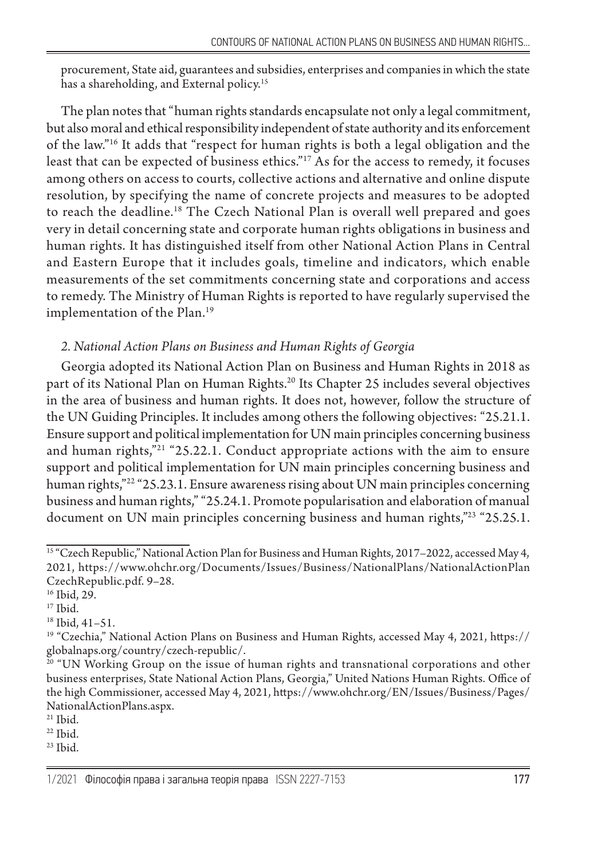procurement, State aid, guarantees and subsidies, enterprises and companies in which the state has a shareholding, and External policy.<sup>15</sup>

The plan notes that "human rights standards encapsulate not only a legal commitment, but also moral and ethical responsibility independent of state authority and its enforcement of the law."16 It adds that "respect for human rights is both a legal obligation and the least that can be expected of business ethics."<sup>17</sup> As for the access to remedy, it focuses among others on access to courts, collective actions and alternative and online dispute resolution, by specifying the name of concrete projects and measures to be adopted to reach the deadline.18 The Czech National Plan is overall well prepared and goes very in detail concerning state and corporate human rights obligations in business and human rights. It has distinguished itself from other National Action Plans in Central and Eastern Europe that it includes goals, timeline and indicators, which enable measurements of the set commitments concerning state and corporations and access to remedy. The Ministry of Human Rights is reported to have regularly supervised the implementation of the Plan.<sup>19</sup>

## *2. National Action Plans on Business and Human Rights of Georgia*

Georgia adopted its National Action Plan on Business and Human Rights in 2018 as part of its National Plan on Human Rights.<sup>20</sup> Its Chapter 25 includes several objectives in the area of business and human rights. It does not, however, follow the structure of the UN Guiding Principles. It includes among others the following objectives: "25.21.1. Ensure support and political implementation for UN main principles concerning business and human rights,"<sup>21</sup> "25.22.1. Conduct appropriate actions with the aim to ensure support and political implementation for UN main principles concerning business and human rights,"<sup>22</sup> "25.23.1. Ensure awareness rising about UN main principles concerning business and human rights," "25.24.1. Promote popularisation and elaboration of manual document on UN main principles concerning business and human rights,"<sup>23</sup> "25.25.1.

<sup>&</sup>lt;sup>15 "</sup>Czech Republic," National Action Plan for Business and Human Rights, 2017–2022, accessed May 4, 2021, https://www.ohchr.org/Documents/Issues/Business/NationalPlans/NationalActionPlan CzechRepublic.pdf. 9–28.

<sup>16</sup> Ibid, 29.

 $17$  Ibid.

<sup>18</sup> Ibid, 41–51.

<sup>&</sup>lt;sup>19</sup> "Czechia," National Action Plans on Business and Human Rights, accessed May 4, 2021, https:// globalnaps.org/country/czech-republic/.

 $20$  "UN Working Group on the issue of human rights and transnational corporations and other business enterprises, State National Action Plans, Georgia," United Nations Human Rights. Office of the high Commissioner, accessed May 4, 2021, https://www.ohchr.org/EN/Issues/Business/Pages/ NationalActionPlans.aspx.

<sup>21</sup> Ibid.

 $22$  Ibid.

<sup>23</sup> Ibid.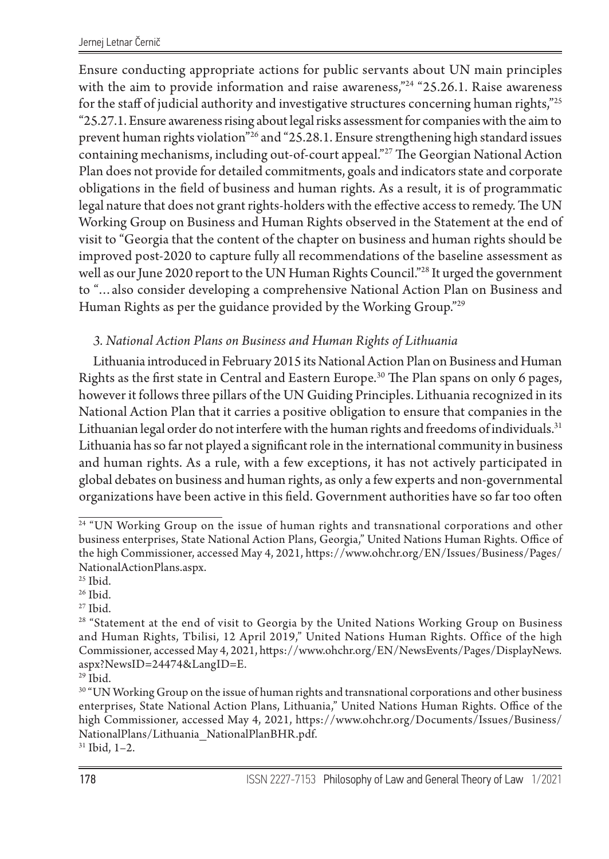Ensure conducting appropriate actions for public servants about UN main principles with the aim to provide information and raise awareness,"<sup>24</sup> "25.26.1. Raise awareness for the staff of judicial authority and investigative structures concerning human rights,"<sup>25</sup> "25.27.1. Ensure awareness rising about legal risks assessment for companies with the aim to prevent human rights violation"26 and "25.28.1. Ensure strengthening high standard issues containing mechanisms, including out-of-court appeal."27 The Georgian National Action Plan does not provide for detailed commitments, goals and indicators state and corporate obligations in the field of business and human rights. As a result, it is of programmatic legal nature that does not grant rights-holders with the effective access to remedy. The UN Working Group on Business and Human Rights observed in the Statement at the end of visit to "Georgia that the content of the chapter on business and human rights should be improved post-2020 to capture fully all recommendations of the baseline assessment as well as our June 2020 report to the UN Human Rights Council."<sup>28</sup> It urged the government to "…also consider developing a comprehensive National Action Plan on Business and Human Rights as per the guidance provided by the Working Group."29

### *3. National Action Plans on Business and Human Rights of Lithuania*

Lithuania introduced in February 2015 its National Action Plan on Business and Human Rights as the first state in Central and Eastern Europe.30 The Plan spans on only 6 pages, however it follows three pillars of the UN Guiding Principles. Lithuania recognized in its National Action Plan that it carries a positive obligation to ensure that companies in the Lithuanian legal order do not interfere with the human rights and freedoms of individuals.<sup>31</sup> Lithuania has so far not played a significant role in the international community in business and human rights. As a rule, with a few exceptions, it has not actively participated in global debates on business and human rights, as only a few experts and non-governmental organizations have been active in this field. Government authorities have so far too often

 $27$  Ibid.

<sup>&</sup>lt;sup>24</sup> "UN Working Group on the issue of human rights and transnational corporations and other business enterprises, State National Action Plans, Georgia," United Nations Human Rights. Office of the high Commissioner, accessed May 4, 2021, https://www.ohchr.org/EN/Issues/Business/Pages/ NationalActionPlans.aspx.

<sup>&</sup>lt;sup>25</sup> Ibid.

<sup>&</sup>lt;sup>26</sup> Ibid.

<sup>&</sup>lt;sup>28</sup> "Statement at the end of visit to Georgia by the United Nations Working Group on Business and Human Rights, Tbilisi, 12 April 2019," United Nations Human Rights. Office of the high Commissioner, accessed May 4, 2021, https://www.ohchr.org/EN/NewsEvents/Pages/DisplayNews. aspx?NewsID=24474&LangID=E.

<sup>29</sup> Ibid.

 $^{\rm 30}$  "UN Working Group on the issue of human rights and transnational corporations and other business enterprises, State National Action Plans, Lithuania," United Nations Human Rights. Office of the high Commissioner, accessed May 4, 2021, https://www.ohchr.org/Documents/Issues/Business/ NationalPlans/Lithuania\_NationalPlanBHR.pdf.

<sup>31</sup> Ibid, 1–2.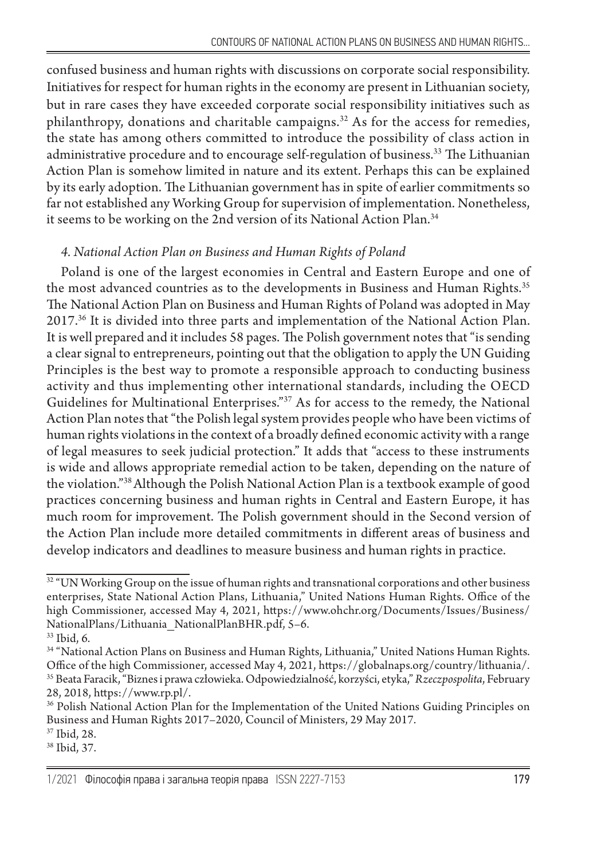confused business and human rights with discussions on corporate social responsibility. Initiatives for respect for human rights in the economy are present in Lithuanian society, but in rare cases they have exceeded corporate social responsibility initiatives such as philanthropy, donations and charitable campaigns. $32$  As for the access for remedies, the state has among others committed to introduce the possibility of class action in administrative procedure and to encourage self-regulation of business.33 The Lithuanian Action Plan is somehow limited in nature and its extent. Perhaps this can be explained by its early adoption. The Lithuanian government has in spite of earlier commitments so far not established any Working Group for supervision of implementation. Nonetheless, it seems to be working on the 2nd version of its National Action Plan.<sup>34</sup>

### *4. National Action Plan on Business and Human Rights of Poland*

Poland is one of the largest economies in Central and Eastern Europe and one of the most advanced countries as to the developments in Business and Human Rights.<sup>35</sup> The National Action Plan on Business and Human Rights of Poland was adopted in May 2017.<sup>36</sup> It is divided into three parts and implementation of the National Action Plan. It is well prepared and it includes 58 pages. The Polish government notes that "is sending a clear signal to entrepreneurs, pointing out that the obligation to apply the UN Guiding Principles is the best way to promote a responsible approach to conducting business activity and thus implementing other international standards, including the OECD Guidelines for Multinational Enterprises."37 As for access to the remedy, the National Action Plan notes that "the Polish legal system provides people who have been victims of human rights violations in the context of a broadly defined economic activity with a range of legal measures to seek judicial protection." It adds that "access to these instruments is wide and allows appropriate remedial action to be taken, depending on the nature of the violation."38 Although the Polish National Action Plan is a textbook example of good practices concerning business and human rights in Central and Eastern Europe, it has much room for improvement. The Polish government should in the Second version of the Action Plan include more detailed commitments in different areas of business and develop indicators and deadlines to measure business and human rights in practice.

 $32$  "UN Working Group on the issue of human rights and transnational corporations and other business enterprises, State National Action Plans, Lithuania," United Nations Human Rights. Office of the high Commissioner, accessed May 4, 2021, https://www.ohchr.org/Documents/Issues/Business/ NationalPlans/Lithuania\_NationalPlanBHR.pdf, 5–6.

<sup>33</sup> Ibid, 6.

<sup>34 &</sup>quot;National Action Plans on Business and Human Rіghts, Lithuania," United Nations Human Rights. Office of the high Commissioner, accessed May 4, 2021, https://globalnaps.org/country/lithuania/. 35 Beata Faracik, "Biznes i prawa człowieka. Odpowiedzialność, korzyści, etyka," *Rzeczpospolita*, February 28, 2018, https://www.rp.pl/.

<sup>&</sup>lt;sup>36</sup> Polish National Action Plan for the Implementation of the United Nations Guiding Principles on Business and Human Rights 2017–2020, Council of Ministers, 29 May 2017.

<sup>37</sup> Ibid, 28.

<sup>38</sup> Ibid, 37.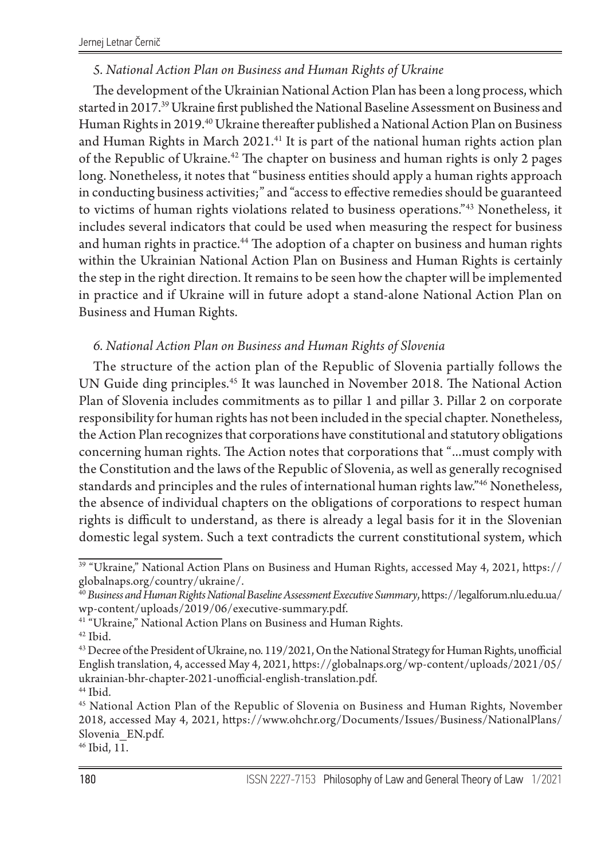#### *5. National Action Plan on Business and Human Rights of Ukraine*

The development of the Ukrainian National Action Plan has been a long process, which started in 2017.39 Ukraine first published the National Baseline Assessment on Business and Human Rights in 2019.40 Ukraine thereafter published a National Action Plan on Business and Human Rights in March 2021.<sup>41</sup> It is part of the national human rights action plan of the Republic of Ukraine.<sup>42</sup> The chapter on business and human rights is only 2 pages long. Nonetheless, it notes that "business entities should apply a human rights approach in conducting business activities;" and "access to effective remedies should be guaranteed to victims of human rights violations related to business operations."43 Nonetheless, it includes several indicators that could be used when measuring the respect for business and human rights in practice.<sup>44</sup> The adoption of a chapter on business and human rights within the Ukrainian National Action Plan on Business and Human Rights is certainly the step in the right direction. It remains to be seen how the chapter will be implemented in practice and if Ukraine will in future adopt a stand-alone National Action Plan on Business and Human Rights.

#### *6. National Action Plan on Business and Human Rights of Slovenia*

The structure of the action plan of the Republic of Slovenia partially follows the UN Guide ding principles.45 It was launched in November 2018. The National Action Plan of Slovenia includes commitments as to pillar 1 and pillar 3. Pillar 2 on corporate responsibility for human rights has not been included in the special chapter. Nonetheless, the Action Plan recognizes that corporations have constitutional and statutory obligations concerning human rights. The Action notes that corporations that "…must comply with the Constitution and the laws of the Republic of Slovenia, as well as generally recognised standards and principles and the rules of international human rights law."46 Nonetheless, the absence of individual chapters on the obligations of corporations to respect human rights is difficult to understand, as there is already a legal basis for it in the Slovenian domestic legal system. Such a text contradicts the current constitutional system, which

 $42$  Ibid.

 $\,^{44}$  Ibid.

46 Ibid, 11.

<sup>&</sup>lt;sup>39</sup> "Ukraine," National Action Plans on Business and Human Rights, accessed May 4, 2021, https:// globalnaps.org/country/ukraine/.

<sup>40</sup> *Business and Human Rights National Baseline Assessment Executive Summary*, https://legalforum.nlu.edu.ua/ wp-content/uploads/2019/06/executive-summary.pdf.

<sup>&</sup>lt;sup>41 "</sup>Ukraine," National Action Plans on Business and Human Rights.

<sup>43</sup> Decree of the President of Ukraine, no. 119/2021, On the National Strategy for Human Rights, unofficial English translation, 4, accessed May 4, 2021, https://globalnaps.org/wp-content/uploads/2021/05/ ukrainian-bhr-chapter-2021-unofficial-english-translation.pdf.

<sup>45</sup> National Action Plan of the Republic of Slovenia on Business and Human Rights, November 2018, accessed May 4, 2021, https://www.ohchr.org/Documents/Issues/Business/NationalPlans/ Slovenia\_EN.pdf.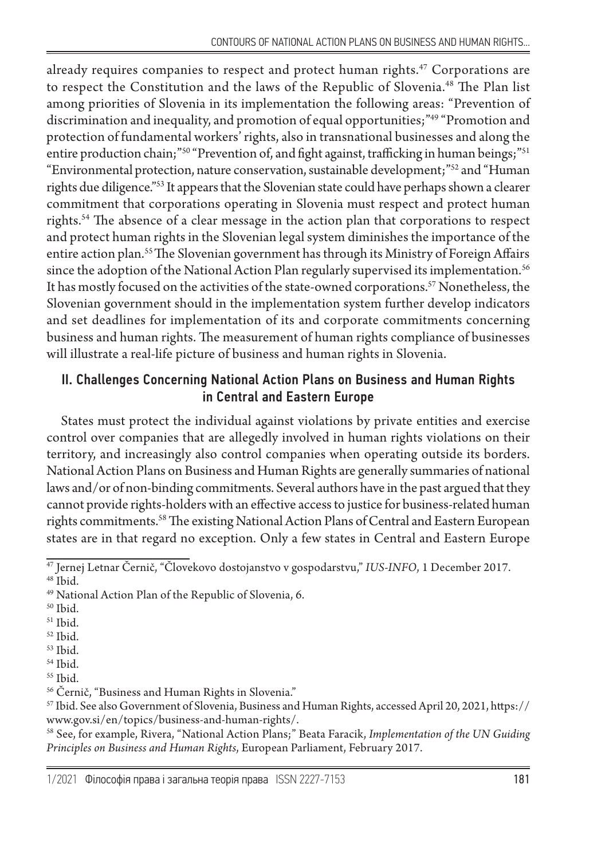already requires companies to respect and protect human rights.<sup>47</sup> Corporations are to respect the Constitution and the laws of the Republic of Slovenia.48 The Plan list among priorities of Slovenia in its implementation the following areas: "Prevention of discrimination and inequality, and promotion of equal opportunities;"49 "Promotion and protection of fundamental workers' rights, also in transnational businesses and along the entire production chain;"<sup>50</sup> "Prevention of, and fight against, trafficking in human beings;"<sup>51</sup> "Environmental protection, nature conservation, sustainable development;"52 and "Human rights due diligence."53 It appears that the Slovenian state could have perhaps shown a clearer commitment that corporations operating in Slovenia must respect and protect human rights.54 The absence of a clear message in the action plan that corporations to respect and protect human rights in the Slovenian legal system diminishes the importance of the entire action plan.55 The Slovenian government has through its Ministry of Foreign Affairs since the adoption of the National Action Plan regularly supervised its implementation.<sup>56</sup> It has mostly focused on the activities of the state-owned corporations.<sup>57</sup> Nonetheless, the Slovenian government should in the implementation system further develop indicators and set deadlines for implementation of its and corporate commitments concerning business and human rights. The measurement of human rights compliance of businesses will illustrate a real-life picture of business and human rights in Slovenia.

### II. Challenges Concerning National Action Plans on Business and Human Rights in Central and Eastern Europe

States must protect the individual against violations by private entities and exercise control over companies that are allegedly involved in human rights violations on their territory, and increasingly also control companies when operating outside its borders. National Action Plans on Business and Human Rights are generally summaries of national laws and/or of non-binding commitments. Several authors have in the past argued that they cannot provide rights-holders with an effective access to justice for business-related human rights commitments.58 The existing National Action Plans of Central and Eastern European states are in that regard no exception. Only a few states in Central and Eastern Europe

- $^{\rm 50}$  Ibid.
- 51 Ibid.
- 52 Ibid.
- 53 Ibid.
- 54 Ibid.
- 55 Ibid.

<sup>47</sup> Jernej Letnar Černič, "Človekovo dostojanstvo v gospodarstvu," *IUS-INFO*, 1 December 2017. 48 Ibid.

<sup>49</sup> National Action Plan of the Republic of Slovenia, 6.

<sup>56</sup> Černič, "Business and Human Rights in Slovenia."

<sup>57</sup> Ibid. See also Government of Slovenia, Business and Human Rights, accessed April 20, 2021, https:// www.gov.si/en/topics/business-and-human-rights/.

<sup>58</sup> See, for example, Rivera, "National Action Plans;" Beata Faracik, *Implementation of the UN Guiding Principles on Business and Human Rights*, European Parliament, February 2017.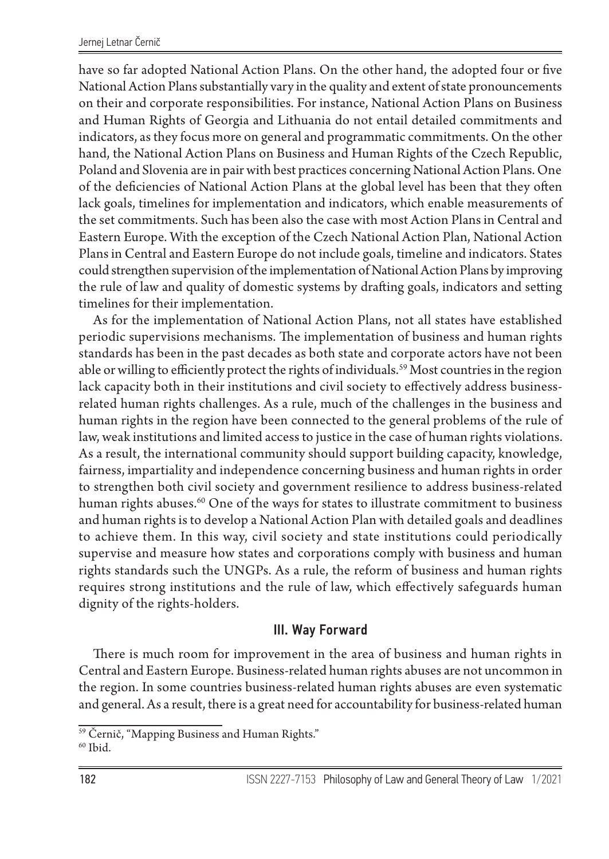have so far adopted National Action Plans. On the other hand, the adopted four or five National Action Plans substantially vary in the quality and extent of state pronouncements on their and corporate responsibilities. For instance, National Action Plans on Business and Human Rights of Georgia and Lithuania do not entail detailed commitments and indicators, as they focus more on general and programmatic commitments. On the other hand, the National Action Plans on Business and Human Rights of the Czech Republic, Poland and Slovenia are in pair with best practices concerning National Action Plans. One of the deficiencies of National Action Plans at the global level has been that they often lack goals, timelines for implementation and indicators, which enable measurements of the set commitments. Such has been also the case with most Action Plans in Central and Eastern Europe. With the exception of the Czech National Action Plan, National Action Plans in Central and Eastern Europe do not include goals, timeline and indicators. States could strengthen supervision of the implementation of National Action Plans by improving the rule of law and quality of domestic systems by drafting goals, indicators and setting timelines for their implementation.

As for the implementation of National Action Plans, not all states have established periodic supervisions mechanisms. The implementation of business and human rights standards has been in the past decades as both state and corporate actors have not been able or willing to efficiently protect the rights of individuals.<sup>59</sup> Most countries in the region lack capacity both in their institutions and civil society to effectively address businessrelated human rights challenges. As a rule, much of the challenges in the business and human rights in the region have been connected to the general problems of the rule of law, weak institutions and limited access to justice in the case of human rights violations. As a result, the international community should support building capacity, knowledge, fairness, impartiality and independence concerning business and human rights in order to strengthen both civil society and government resilience to address business-related human rights abuses.60 One of the ways for states to illustrate commitment to business and human rights is to develop a National Action Plan with detailed goals and deadlines to achieve them. In this way, civil society and state institutions could periodically supervise and measure how states and corporations comply with business and human rights standards such the UNGPs. As a rule, the reform of business and human rights requires strong institutions and the rule of law, which effectively safeguards human dignity of the rights-holders.

#### III. Way Forward

There is much room for improvement in the area of business and human rights in Central and Eastern Europe. Business-related human rights abuses are not uncommon in the region. In some countries business-related human rights abuses are even systematic and general. As a result, there is a great need for accountability for business-related human

<sup>59</sup> Černič, "Mapping Business and Human Rights."

 $60$  Ibid.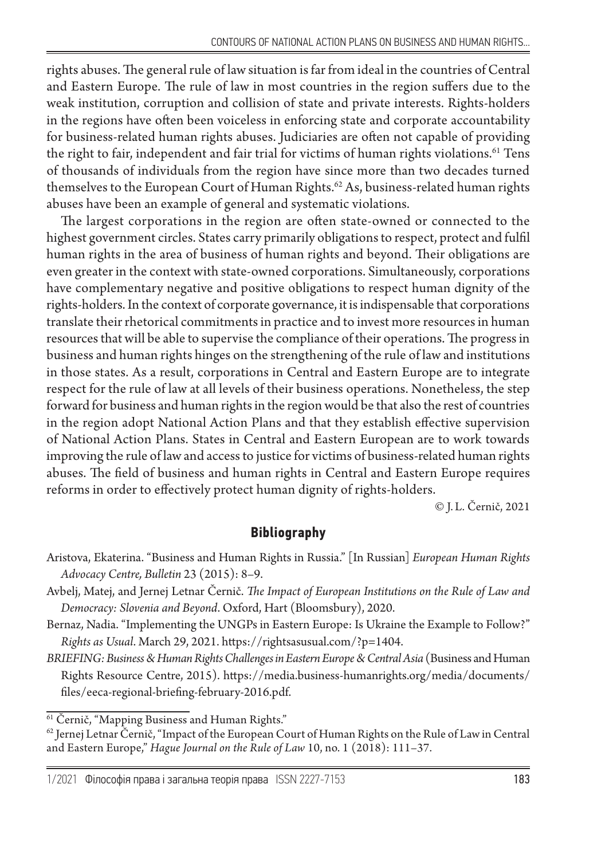rights abuses. The general rule of law situation is far from ideal in the countries of Central and Eastern Europe. The rule of law in most countries in the region suffers due to the weak institution, corruption and collision of state and private interests. Rights-holders in the regions have often been voiceless in enforcing state and corporate accountability for business-related human rights abuses. Judiciaries are often not capable of providing the right to fair, independent and fair trial for victims of human rights violations.<sup>61</sup> Tens of thousands of individuals from the region have since more than two decades turned themselves to the European Court of Human Rights.<sup>62</sup> As, business-related human rights abuses have been an example of general and systematic violations.

The largest corporations in the region are often state-owned or connected to the highest government circles. States carry primarily obligations to respect, protect and fulfil human rights in the area of business of human rights and beyond. Their obligations are even greater in the context with state-owned corporations. Simultaneously, corporations have complementary negative and positive obligations to respect human dignity of the rights-holders. In the context of corporate governance, it is indispensable that corporations translate their rhetorical commitments in practice and to invest more resources in human resources that will be able to supervise the compliance of their operations. The progress in business and human rights hinges on the strengthening of the rule of law and institutions in those states. As a result, corporations in Central and Eastern Europe are to integrate respect for the rule of law at all levels of their business operations. Nonetheless, the step forward for business and human rights in the region would be that also the rest of countries in the region adopt National Action Plans and that they establish effective supervision of National Action Plans. States in Central and Eastern European are to work towards improving the rule of law and access to justice for victims of business-related human rights abuses. The field of business and human rights in Central and Eastern Europe requires reforms in order to effectively protect human dignity of rights-holders.

© J. L. Černič, 2021

## **Bibliography**

- Aristova, Ekaterina. "Business and Human Rights in Russia." [In Russian] *European Human Rights Advocacy Centre, Bulletin* 23 (2015): 8–9.
- Avbelj, Matej, and Jernej Letnar Černič. *The Impact of European Institutions on the Rule of Law and Democracy: Slovenia and Beyond*. Oxford, Hart (Bloomsbury), 2020.
- Bernaz, Nadia. "Implementing the UNGPs in Eastern Europe: Is Ukraine the Example to Follow?" *Rights as Usual*. March 29, 2021. https://rightsasusual.com/?p=1404.
- *BRIEFING: Business & Human Rights Challenges in Eastern Europe & Central Asia* (Business and Human Rights Resource Centre, 2015). https://media.business-humanrights.org/media/documents/ files/eeca-regional-briefing-february-2016.pdf.

<sup>&</sup>lt;sup>61</sup> Černič, "Mapping Business and Human Rights."

 $^{62}$  Jernej Letnar Černič, "Impact of the European Court of Human Rights on the Rule of Law in Central and Eastern Europe," *Hague Journal on the Rule of Law* 10, no. 1 (2018): 111–37.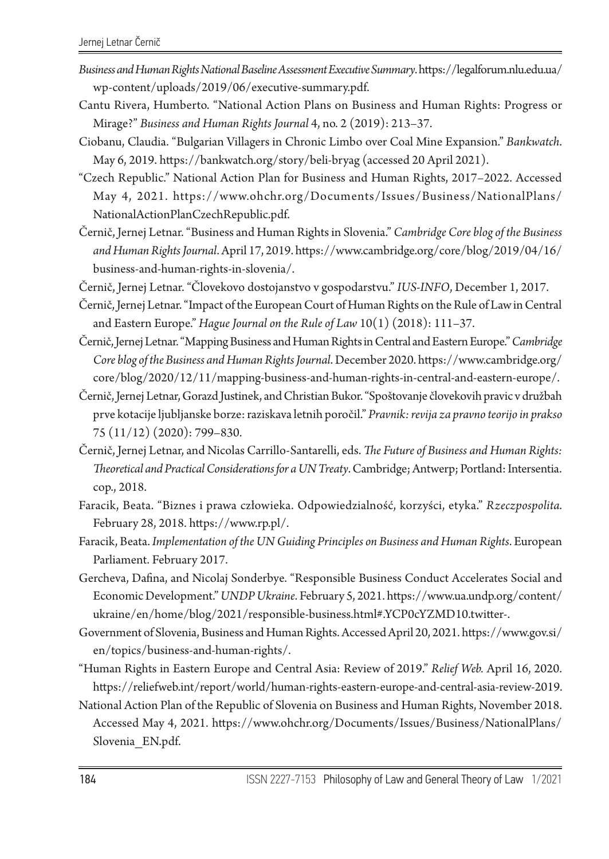- *Business and Human Rights National Baseline Assessment Executive Summary*. https://legalforum.nlu.edu.ua/ wp-content/uploads/2019/06/executive-summary.pdf.
- Cantu Rivera, Humberto. "National Action Plans on Business and Human Rights: Progress or Mirage?" *Business and Human Rights Journal* 4, no. 2 (2019): 213–37.
- Ciobanu, Claudia. "Bulgarian Villagers in Chronic Limbo over Coal Mine Expansion." *Bankwatch*. May 6, 2019. https://bankwatch.org/story/beli-bryag (accessed 20 April 2021).
- "Czech Republic." National Action Plan for Business and Human Rights, 2017–2022. Accessed May 4, 2021. https://www.ohchr.org/Documents/Issues/Business/NationalPlans/ NationalActionPlanCzechRepublic.pdf.
- Černič, Jernej Letnar. "Business and Human Rights in Slovenia." *Cambridge Core blog of the Business and Human Rights Journal*. April 17, 2019. https://www.cambridge.org/core/blog/2019/04/16/ business-and-human-rights-in-slovenia/.
- Černič, Jernej Letnar. "Človekovo dostojanstvo v gospodarstvu." *IUS-INFO*, December 1, 2017.
- Černič, Jernej Letnar. "Impact of the European Court of Human Rights on the Rule of Law in Central and Eastern Europe." *Hague Journal on the Rule of Law* 10(1) (2018): 111–37.
- Černič, Jernej Letnar. "Mapping Business and Human Rights in Central and Eastern Europe." *Cambridge Core blog of the Business and Human Rights Journal*. December 2020. https://www.cambridge.org/ core/blog/2020/12/11/mapping-business-and-human-rights-in-central-and-eastern-europe/.
- Černič, Jernej Letnar, Gorazd Justinek, and Christian Bukor. "Spoštovanje človekovih pravic v družbah prve kotacije ljubljanske borze: raziskava letnih poročil." *Pravnik: revija za pravno teorijo in prakso* 75 (11/12) (2020): 799–830.
- Černič, Jernej Letnar, and Nicolas Carrillo-Santarelli, eds. *The Future of Business and Human Rights: Theoretical and Practical Considerations for a UN Treaty*. Cambridge; Antwerp; Portland: Intersentia. cop., 2018.
- Faracik, Beata. "Biznes i prawa człowieka. Odpowiedzialność, korzyści, etyka." *Rzeczpospolita*. February 28, 2018. https://www.rp.pl/.
- Faracik, Beata. *Implementation of the UN Guiding Principles on Business and Human Rights*. European Parliament. February 2017.
- Gercheva, Dafina, and Nicolaj Sonderbye. "Responsible Business Conduct Accelerates Social and Economic Development." *UNDP Ukraine*. February 5, 2021. https://www.ua.undp.org/content/ ukraine/en/home/blog/2021/responsible-business.html#.YCP0cYZMD10.twitter-.
- Government of Slovenia, Business and Human Rights. Accessed April 20, 2021. https://www.gov.si/ en/topics/business-and-human-rights/.
- "Human Rights in Eastern Europe and Central Asia: Review of 2019." *Relief Web.* April 16, 2020. https://reliefweb.int/report/world/human-rights-eastern-europe-and-central-asia-review-2019.
- National Action Plan of the Republic of Slovenia on Business and Human Rights, November 2018. Аccessed May 4, 2021. https://www.ohchr.org/Documents/Issues/Business/NationalPlans/ Slovenia\_EN.pdf.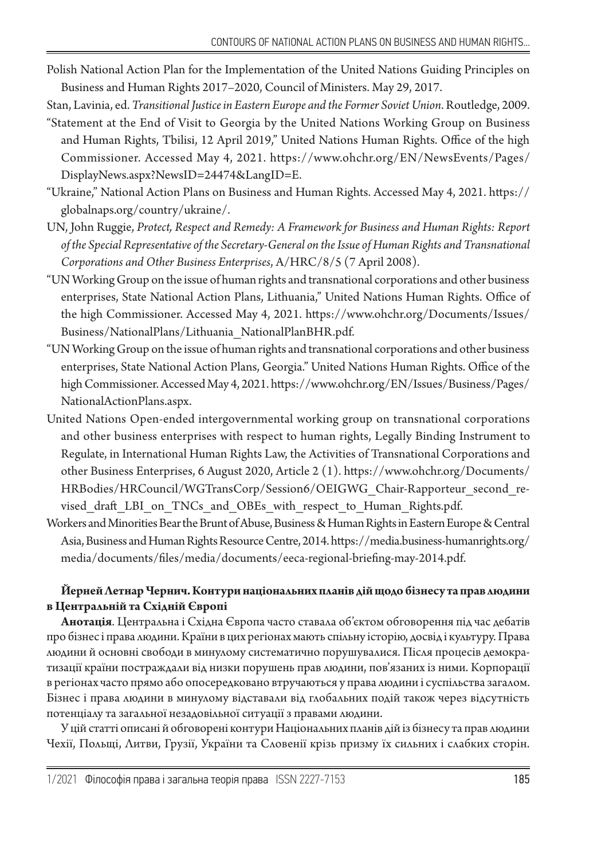- Polish National Action Plan for the Implementation of the United Nations Guiding Principles on Business and Human Rights 2017–2020, Council of Ministers. May 29, 2017.
- Stan, Lavinia, ed. *Transitional Justice in Eastern Europe and the Former Soviet Union*. Routledge, 2009.
- "Statement at the End of Visit to Georgia by the United Nations Working Group on Business and Human Rights, Tbilisi, 12 April 2019," United Nations Human Rights. Office of the high Commissioner. Accessed May 4, 2021. https://www.ohchr.org/EN/NewsEvents/Pages/ DisplayNews.aspx?NewsID=24474&LangID=E.
- "Ukraine," National Action Plans on Business and Human Rights. Accessed May 4, 2021. https:// globalnaps.org/country/ukraine/.
- UN, John Ruggie, *Protect, Respect and Remedy: A Framework for Business and Human Rights: Report of the Special Representative of the Secretary-General on the Issue of Human Rights and Transnational Corporations and Other Business Enterprises*, A/HRC/8/5 (7 April 2008).
- "UN Working Group on the issue of human rights and transnational corporations and other business enterprises, State National Action Plans, Lithuania," United Nations Human Rights. Office of the high Commissioner. Accessed May 4, 2021. https://www.ohchr.org/Documents/Issues/ Business/NationalPlans/Lithuania\_NationalPlanBHR.pdf.
- "UN Working Group on the issue of human rights and transnational corporations and other business enterprises, State National Action Plans, Georgia." United Nations Human Rights. Office of the high Commissioner. Аccessed May 4, 2021. https://www.ohchr.org/EN/Issues/Business/Pages/ NationalActionPlans.aspx.
- United Nations Open-ended intergovernmental working group on transnational corporations and other business enterprises with respect to human rights, Legally Binding Instrument to Regulate, in International Human Rights Law, the Activities of Transnational Corporations and other Business Enterprises, 6 August 2020, Article 2 (1). https://www.ohchr.org/Documents/ HRBodies/HRCouncil/WGTransCorp/Session6/OEIGWG\_Chair-Rapporteur\_second\_revised draft LBI on TNCs and OBEs with respect to Human Rights.pdf.
- Workers and Minorities Bear the Brunt of Abuse, Business & Human Rights in Eastern Europe & Central Asia, Business and Human Rights Resource Centre, 2014. https://media.business-humanrights.org/ media/documents/files/media/documents/eeca-regional-briefing-may-2014.pdf.

#### **Йерней Летнар Чернич. Контури національних планів дій щодо бізнесу та прав людини в Центральній та Східній Європі**

**Анотація**. Центральна і Східна Європа часто ставала об'єктом обговорення під час дебатів про бізнес і права людини. Країни в цих регіонах мають спільну історію, досвід і культуру. Права людини й основні свободи в минулому систематично порушувалися. Після процесів демократизації країни постраждали від низки порушень прав людини, пов'язаних із ними. Корпорації в регіонах часто прямо або опосередковано втручаються у права людини і суспільства загалом. Бізнес і права людини в минулому відставали від глобальних подій також через відсутність потенціалу та загальної незадовільної ситуації з правами людини.

У цій статті описані й обговорені контури Національних планів дій із бізнесу та прав людини Чехії, Польщі, Литви, Грузії, України та Словенії крізь призму їх сильних і слабких сторін.